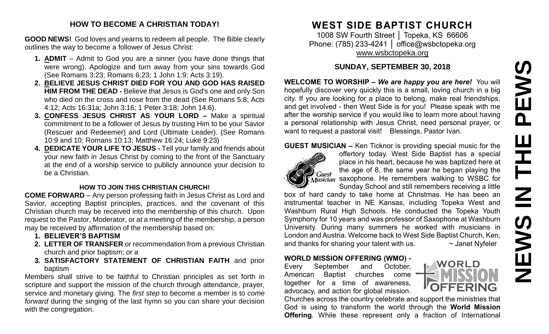# PEWS **NEWS IN THE PEWS**Ш **HH NH IEWS**  $\overline{z}$

#### **HOW TO BECOME A CHRISTIAN TODAY!**

**GOOD NEWS!** God loves and yearns to redeem all people. The Bible clearly outlines the way to become a follower of Jesus Christ:

- **1. ADMIT** Admit to God you are a sinner (you have done things that were wrong). Apologize and turn away from your sins towards God (See Romans 3:23; Romans 6:23; 1 John 1:9; Acts 3:19).
- **2. BELIEVE JESUS CHRIST DIED FOR YOU AND GOD HAS RAISED HIM FROM THE DEAD -** Believe that Jesus is God's one and only Son who died on the cross and rose from the dead (See Romans 5:8; Acts 4:12; Acts 16:31a; John 3:16; 1 Peter 3:18; John 14:6).
- **3. CONFESS JESUS CHRIST AS YOUR LORD –** Make a spiritual commitment to be a follower of Jesus by trusting Him to be your Savior (Rescuer and Redeemer) and Lord (Ultimate Leader). (See Romans 10:9 and 10; Romans 10:13; Matthew 16:24; Luke 9:23)
- **4. DEDICATE YOUR LIFE TO JESUS -** Tell your family and friends about your new faith in Jesus Christ by coming to the front of the Sanctuary at the end of a worship service to publicly announce your decision to be a Christian.

#### **HOW TO JOIN THIS CHRISTIAN CHURCH!**

**COME FORWARD** – Any person professing faith in Jesus Christ as Lord and Savior, accepting Baptist principles, practices, and the covenant of this Christian church may be received into the membership of this church. Upon request to the Pastor, Moderator, or at a meeting of the membership, a person may be received by affirmation of the membership based on:

- **1. BELIEVER'S BAPTISM**
- **2. LETTER OF TRANSFER** or recommendation from a previous Christian church and prior baptism; or a
- **3. SATISFACTORY STATEMENT OF CHRISTIAN FAITH** and prior baptism

Members shall strive to be faithful to Christian principles as set forth in scripture and support the mission of the church through attendance, prayer, service and monetary giving. The *first step* to become a member is to *come forward* during the singing of the last hymn so you can share your decision with the congregation.

# **WEST SIDE BAPTIST CHURCH**

1008 SW Fourth Street | Topeka, KS 66606 Phone: (785) 233-4241 | [office@wsbctopeka.org](mailto:office@wsbctopeka.org) [www.wsbctopeka.org](http://www.wsbctopeka.org/)

## **SUNDAY, SEPTEMBER 30, 2018**

**WELCOME TO WORSHIP –** *We are happy you are here!* You will hopefully discover very quickly this is a small, loving church in a big city. If you are looking for a place to belong, make real friendships, and get involved - then West Side is for you! Please speak with me after the worship service if you would like to learn more about having a personal relationship with Jesus Christ, need personal prayer, or want to request a pastoral visit! Blessings, Pastor Ivan.

#### **GUEST MUSICIAN –** Ken Ticknor is providing special music for the



offertory today. West Side Baptist has a special place in his heart, because he was baptized here at the age of 8, the same year he began playing the  $\mathcal{S}_{\text{Musician}}$  saxophone. He remembers walking to WSBC for Sunday School and still remembers receiving a little

box of hard candy to take home at Christmas. He has been an instrumental teacher in NE Kansas, including Topeka West and Washburn Rural High Schools. He conducted the Topeka Youth Symphony for 10 years and was professor of Saxophone at Washburn University. During many summers he worked with musicians in London and Austria. Welcome back to West Side Baptist Church, Ken, and thanks for sharing your talent with us.  $\sim$  Janet Nyfeler

## **WORLD MISSION OFFERING (WMO) -**

Every September and October, American Baptist churches come together for a time of awareness, advocacy, and action for global mission.

Churches across the country celebrate and support the ministries that God is using to transform the world through the **World Mission Offering**. While these represent only a fraction of International

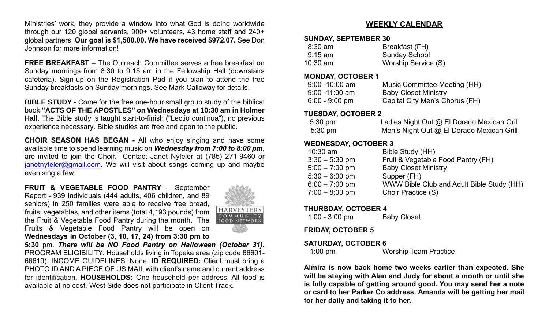Ministries' work, they provide a window into what God is doing worldwide through our 120 global servants, 900+ volunteers, 43 home staff and 240+ global partners. **Our goal is \$1,500.00. We have received \$972.07.** See Don Johnson for more information!

**FREE BREAKFAST** – The Outreach Committee serves a free breakfast on Sunday mornings from 8:30 to 9:15 am in the Fellowship Hall (downstairs cafeteria). Sign-up on the Registration Pad if you plan to attend the free Sunday breakfasts on Sunday mornings. See Mark Calloway for details.

**BIBLE STUDY -** Come for the free one-hour small group study of the biblical book **"ACTS OF THE APOSTLES" on Wednesdays at 10:30 am in Holmer Hall**. The Bible study is taught start-to-finish ("Lectio continua"), no previous experience necessary. Bible studies are free and open to the public.

**CHOIR SEASON HAS BEGAN -** All who enjoy singing and have some available time to spend learning music on *Wednesday from 7:00 to 8:00 pm*, are invited to join the Choir. Contact Janet Nyfeler at (785) 271-9460 or [janetnyfeler@gmail.com.](mailto:janetnyfeler@gmail.com) We will visit about songs coming up and maybe even sing a few.

**FRUIT & VEGETABLE FOOD PANTRY –** September Report - 939 Individuals (444 adults, 406 children, and 89 seniors) in 250 families were able to receive free bread, fruits, vegetables, and other items (total 4,193 pounds) from the Fruit & Vegetable Food Pantry during the month. The Fruits & Vegetable Food Pantry will be open on **Wednesdays in October (3, 10, 17, 24) from 3:30 pm to** 



**5:30** pm. *There will be NO Food Pantry on Halloween (October 31).* PROGRAM ELIGIBILITY: Households living in Topeka area (zip code 66601- 66619). INCOME GUIDELINES: None. **ID REQUIRED:** Client must bring a PHOTO ID AND A PIECE OF US MAIL with client's name and current address for identification. **HOUSEHOLDS:** One household per address. All food is available at no cost. West Side does not participate in Client Track.

### **WEEKLY CALENDAR**

#### **SUNDAY, SEPTEMBER 30**

| $8:30$ am         | Breakfast (FH)       |
|-------------------|----------------------|
| $9:15 \text{ am}$ | <b>Sunday School</b> |
| $10:30$ am        | Worship Service (S)  |

#### **MONDAY, OCTOBER 1**

| $9:00 - 10:00$ am | Music Committee Meeting (HH)   |
|-------------------|--------------------------------|
| $9:00 - 11:00$ am | <b>Baby Closet Ministry</b>    |
| $6:00 - 9:00$ pm  | Capital City Men's Chorus (FH) |

#### **TUESDAY, OCTOBER 2**

| $5:30 \text{ pm}$ | Ladies Night Out @ El Dorado Mexican Grill |
|-------------------|--------------------------------------------|
| $5:30 \text{ pm}$ | Men's Night Out @ El Dorado Mexican Grill  |

#### **WEDNESDAY, OCTOBER 3**

| $10:30$ am       | Bible Study (HH)                          |
|------------------|-------------------------------------------|
| $3:30 - 5:30$ pm | Fruit & Vegetable Food Pantry (FH)        |
| $5:00 - 7:00$ pm | <b>Baby Closet Ministry</b>               |
| $5:30 - 6:00$ pm | Supper (FH)                               |
| $6:00 - 7:00$ pm | WWW Bible Club and Adult Bible Study (HH) |
| $7:00 - 8:00$ pm | Choir Practice (S)                        |
|                  |                                           |

#### **THURSDAY, OCTOBER 4**

| $1:00 - 3:00$ pm | <b>Baby Closet</b> |
|------------------|--------------------|
|------------------|--------------------|

**FRIDAY, OCTOBER 5**

#### **SATURDAY, OCTOBER 6**

1:00 pm Worship Team Practice

**Almira is now back home two weeks earlier than expected. She will be staying with Alan and Judy for about a month or until she is fully capable of getting around good. You may send her a note or card to her Parker Co address. Amanda will be getting her mail for her daily and taking it to her.**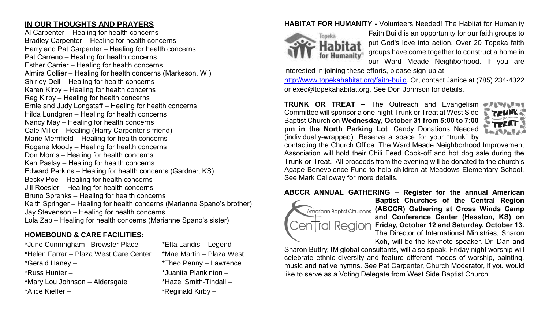## **IN OUR THOUGHTS AND PRAYERS**

Al Carpenter – Healing for health concerns Bradley Carpenter – Healing for health concerns Harry and Pat Carpenter – Healing for health concerns Pat Carreno – Healing for health concerns Esther Carrier – Healing for health concerns Almira Collier – Healing for health concerns (Markeson, WI) Shirley Dell – Healing for health concerns Karen Kirby – Healing for health concerns Reg Kirby – Healing for health concerns Ernie and Judy Longstaff – Healing for health concerns Hilda Lundgren – Healing for health concerns Nancy May – Healing for health concerns Cale Miller – Healing (Harry Carpenter's friend) Marie Merrifield – Healing for health concerns Rogene Moody – Healing for health concerns Don Morris – Healing for health concerns Ken Paslay – Healing for health concerns Edward Perkins – Healing for health concerns (Gardner, KS) Becky Poe – Healing for health concerns Jill Roesler – Healing for health concerns Bruno Sprenks – Healing for health concerns Keith Springer – Healing for health concerns (Marianne Spano's brother) Jay Stevenson – Healing for health concerns Lola Zab – Healing for health concerns (Marianne Spano's sister)

## **HOMEBOUND & CARE FACILITIES:**

\*June Cunningham –Brewster Place \*Etta Landis – Legend \*Helen Farrar – Plaza West Care Center \*Mae Martin – Plaza West \*Gerald Haney – \*Theo Penny – Lawrence \*Russ Hunter – \*Juanita Plankinton – \*Mary Lou Johnson – Aldersgate \*Hazel Smith-Tindall – \*Alice Kieffer – \* \*Reginald Kirby –

## **HABITAT FOR HUMANITY -** Volunteers Needed! The Habitat for Humanity



Faith Build is an opportunity for our faith groups to put God's love into action. Over 20 Topeka faith groups have come together to construct a home in our Ward Meade Neighborhood. If you are

interested in joining these efforts, please sign-up at

[http://www.topekahabitat.org/faith-build.](http://www.topekahabitat.org/faith-build) Or, contact Janice at (785) 234-4322 or [exec@topekahabitat.org.](mailto:exec@topekahabitat.org) See Don Johnson for details.

**TRUNK OR TREAT –** The Outreach and Evangelism Committee will sponsor a one-night Trunk or Treat at West Side Baptist Church on Wednesday, October 31 from 5:00 to 7:00 **pm in the North Parking Lot**. Candy Donations Needed (individually-wrapped). Reserve a space for your "trunk" by



contacting the Church Office. The Ward Meade Neighborhood Improvement Association will hold their Chili Feed Cook-off and hot dog sale during the Trunk-or-Treat. All proceeds from the evening will be donated to the church's Agape Benevolence Fund to help children at Meadows Elementary School. See Mark Calloway for more details.

**ABCCR ANNUAL GATHERING** – **Register for the annual American** 



**Baptist Churches of the Central Region American Baptist Churches (ABCCR) Gathering at Cross Winds Camp and Conference Center (Hesston, KS) on Friday, October 12 and Saturday, October 13.**  The Director of International Ministries, Sharon Koh, will be the keynote speaker. Dr. Dan and

Sharon Buttry, IM global consultants, will also speak. Friday night worship will celebrate ethnic diversity and feature different modes of worship, painting, music and native hymns. See Pat Carpenter, Church Moderator, if you would like to serve as a Voting Delegate from West Side Baptist Church.